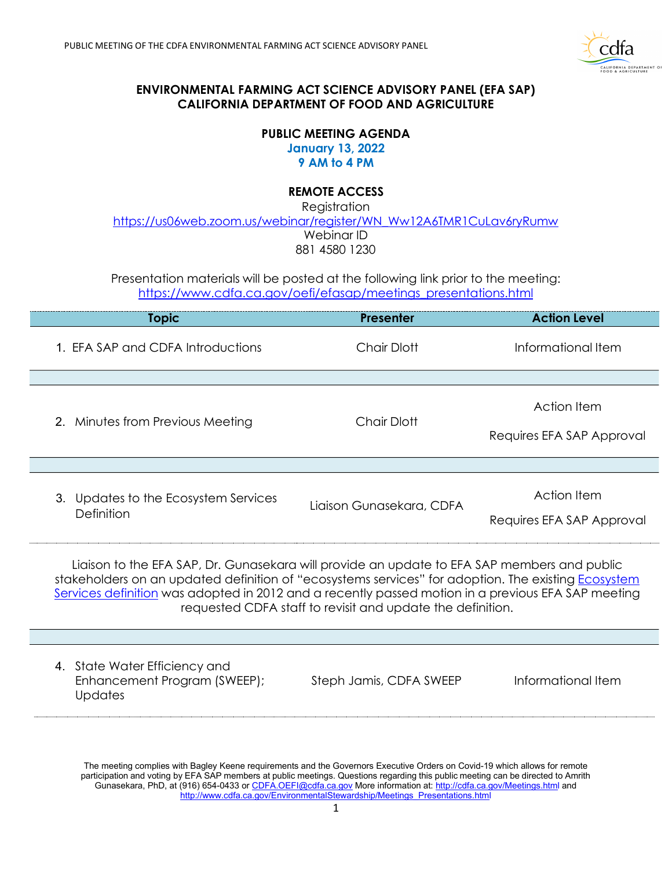

## **ENVIRONMENTAL FARMING ACT SCIENCE ADVISORY PANEL (EFA SAP) CALIFORNIA DEPARTMENT OF FOOD AND AGRICULTURE**

### **PUBLIC MEETING AGENDA January 13, 2022 9 AM to 4 PM**

# **REMOTE ACCESS**

 Webinar ID 881 4580 1230 **Registration** [https://us06web.zoom.us/webinar/register/WN\\_Ww12A6TMR1CuLav6ryRumw](https://gcc02.safelinks.protection.outlook.com/?url=https%3A%2F%2Fus06web.zoom.us%2Fwebinar%2Fregister%2FWN_Ww12A6TMR1CuLav6ryRumw&data=04%7C01%7Camrith.gunasekara%40cdfa.ca.gov%7Cf6b0215b68c44c026c6b08d9c9745913%7Cafdfd251a22248978cbaae68cabfffbc%7C0%7C0%7C637762323810706992%7CUnknown%7CTWFpbGZsb3d8eyJWIjoiMC4wLjAwMDAiLCJQIjoiV2luMzIiLCJBTiI6Ik1haWwiLCJXVCI6Mn0%3D%7C3000&sdata=KsG3KreEIAzWZcz8ExEZxqbz8qYhfTO3%2FHydvUrV234%3D&reserved=0) 

 Presentation materials will be posted at the following link prior to the meeting: [https://www.cdfa.ca.gov/oefi/efasap/meetings\\_presentations.html](https://www.cdfa.ca.gov/oefi/efasap/meetings_presentations.html) 

| <b>Topic</b>                                                                                                                                                                                       | <b>Presenter</b>         | <b>Action Level</b>                      |
|----------------------------------------------------------------------------------------------------------------------------------------------------------------------------------------------------|--------------------------|------------------------------------------|
| 1. EFA SAP and CDFA Introductions                                                                                                                                                                  | <b>Chair Dlott</b>       | Informational Item                       |
|                                                                                                                                                                                                    |                          |                                          |
| 2. Minutes from Previous Meeting                                                                                                                                                                   | <b>Chair Dlott</b>       | Action Item                              |
|                                                                                                                                                                                                    |                          | Requires EFA SAP Approval                |
|                                                                                                                                                                                                    |                          |                                          |
| 3. Updates to the Ecosystem Services<br>Definition                                                                                                                                                 | Ligison Gungsekara, CDFA | Action Item<br>Requires EFA SAP Approval |
| Liaison to the EFA SAP, Dr. Gunasekara will provide an update to EFA SAP members and public<br>stakeholders on an undated definition of "ecosystems senvices" for adoption. The existing Ecosystem |                          |                                          |

 [Services definition w](https://www.cdfa.ca.gov/oefi/ecosystemservices/)as adopted in 2012 and a recently passed motion in a previous EFA SAP meeting requested CDFA staff to revisit and update the definition. stakeholders on an updated definition of "ecosystems services" for adoption. The existing **Ecosystem** 

 4. State Water Efficiency and Enhancement Program (SWEEP); Steph Jamis, CDFA SWEEP informational Item **Updates** 

 Gunasekara, PhD, at (916) 654-0433 or <u>CDFA.OEFI@cdfa.ca.gov</u> More information at: <u>http://cdfa.ca.gov/Meetings.htm</u>l and The meeting complies with Bagley Keene requirements and the Governors Executive Orders on Covid-19 which allows for remote participation and voting by EFA SAP members at public meetings. Questions regarding this public meeting can be directed to Amrith [http://www.cdfa.ca.gov/EnvironmentalStewardship/Meetings\\_Presentations.html](http://www.cdfa.ca.gov/EnvironmentalStewardship/Meetings_Presentations.html)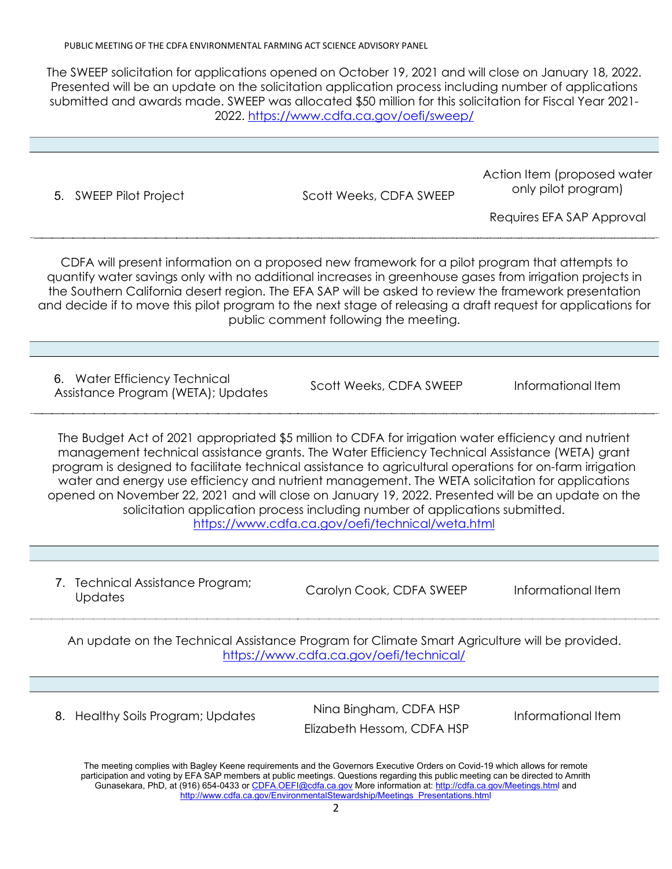The SWEEP solicitation for applications opened on October 19, 2021 and will close on January 18, 2022. submitted and awards made. SWEEP was allocated \$50 million for this solicitation for Fiscal Year 2021- Presented will be an update on the solicitation application process including number of applications 2022.<https://www.cdfa.ca.gov/oefi/sweep/>

| 5. SWEEP Pilot Project                                                                                                                                                                                                                                                                                                                                                                                                                                                                                                                                                                                                                                          | Scott Weeks, CDFA SWEEP                              | Action Item (proposed water<br>only pilot program)<br>Requires EFA SAP Approval |  |  |
|-----------------------------------------------------------------------------------------------------------------------------------------------------------------------------------------------------------------------------------------------------------------------------------------------------------------------------------------------------------------------------------------------------------------------------------------------------------------------------------------------------------------------------------------------------------------------------------------------------------------------------------------------------------------|------------------------------------------------------|---------------------------------------------------------------------------------|--|--|
| CDFA will present information on a proposed new framework for a pilot program that attempts to<br>quantify water savings only with no additional increases in greenhouse gases from irrigation projects in<br>the Southern California desert region. The EFA SAP will be asked to review the framework presentation<br>and decide if to move this pilot program to the next stage of releasing a draft request for applications for<br>public comment following the meeting.                                                                                                                                                                                    |                                                      |                                                                                 |  |  |
| 6. Water Efficiency Technical<br>Assistance Program (WETA); Updates                                                                                                                                                                                                                                                                                                                                                                                                                                                                                                                                                                                             | Scott Weeks, CDFA SWEEP                              | Informational Item                                                              |  |  |
| The Budget Act of 2021 appropriated \$5 million to CDFA for irrigation water efficiency and nutrient<br>management technical assistance grants. The Water Efficiency Technical Assistance (WETA) grant<br>program is designed to facilitate technical assistance to agricultural operations for on-farm irrigation<br>water and energy use efficiency and nutrient management. The WETA solicitation for applications<br>opened on November 22, 2021 and will close on January 19, 2022. Presented will be an update on the<br>solicitation application process including number of applications submitted.<br>https://www.cdfa.ca.gov/oefi/technical/weta.html |                                                      |                                                                                 |  |  |
| 7. Technical Assistance Program;<br>Updates                                                                                                                                                                                                                                                                                                                                                                                                                                                                                                                                                                                                                     | Carolyn Cook, CDFA SWEEP                             | Informational Item                                                              |  |  |
| An update on the Technical Assistance Program for Climate Smart Agriculture will be provided.<br>https://www.cdfa.ca.gov/oefi/technical/                                                                                                                                                                                                                                                                                                                                                                                                                                                                                                                        |                                                      |                                                                                 |  |  |
| 8. Healthy Soils Program; Updates                                                                                                                                                                                                                                                                                                                                                                                                                                                                                                                                                                                                                               | Nina Bingham, CDFA HSP<br>Elizabeth Hessom, CDFA HSP | Informational Item                                                              |  |  |
| The meeting complies with Bagley Keene requirements and the Governors Executive Orders on Covid-19 which allows for remote<br>participation and voting by EFA SAP members at public meetings. Questions regarding this public meeting can be directed to Amrith<br>Gunasekara, PhD, at (916) 654-0433 or CDFA.OEFI@cdfa.ca.gov More information at: http://cdfa.ca.gov/Meetings.html and<br>http://www.cdfa.ca.gov/EnvironmentalStewardship/Meetings Presentations.html                                                                                                                                                                                         |                                                      |                                                                                 |  |  |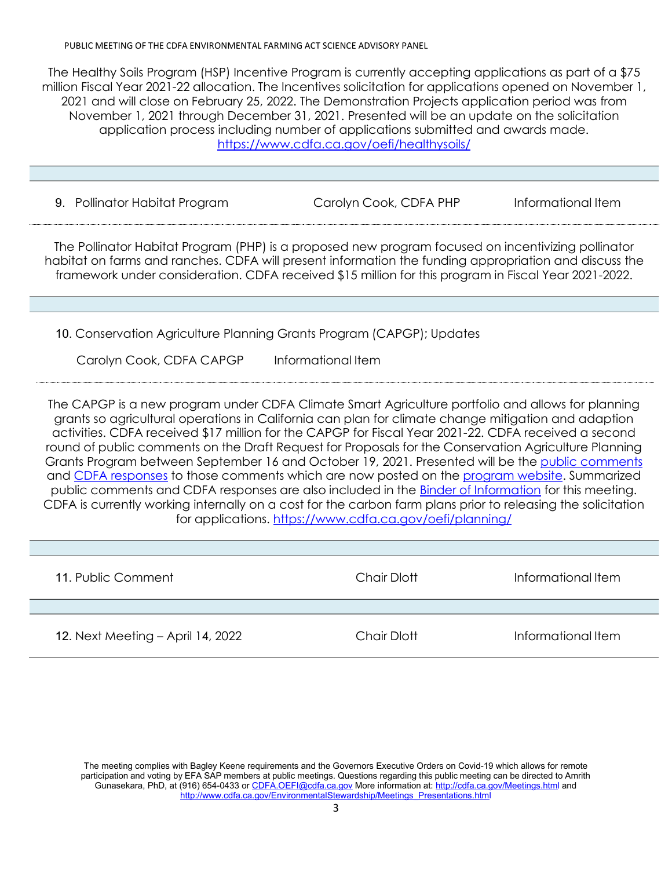#### PUBLIC MEETING OF THE CDFA ENVIRONMENTAL FARMING ACT SCIENCE ADVISORY PANEL

 The Healthy Soils Program (HSP) Incentive Program is currently accepting applications as part of a \$75 million Fiscal Year 2021-22 allocation. The Incentives solicitation for applications opened on November 1, 2021 and will close on February 25, 2022. The Demonstration Projects application period was from November 1, 2021 through December 31, 2021. Presented will be an update on the solicitation application process including number of applications submitted and awards made. <https://www.cdfa.ca.gov/oefi/healthysoils/>

| 9. Pollinator Habitat Program | Carolyn Cook, CDFA PHP | Informational Item |
|-------------------------------|------------------------|--------------------|
|                               |                        |                    |

 habitat on farms and ranches. CDFA will present information the funding appropriation and discuss the framework under consideration. CDFA received \$15 million for this program in Fiscal Year 2021-2022. The Pollinator Habitat Program (PHP) is a proposed new program focused on incentivizing pollinator

10. Conservation Agriculture Planning Grants Program (CAPGP); Updates

Carolyn Cook, CDFA CAPGP Informational Item

 The CAPGP is a new program under CDFA Climate Smart Agriculture portfolio and allows for planning grants so agricultural operations in California can plan for climate change mitigation and adaption round of public comments on the Draft Request for Proposals for the Conservation Agriculture Planning and [CDFA responses t](https://www.cdfa.ca.gov/oefi/planning/docs/public_comment_response_docDec2021.pdf)o those comments which are now posted on the [program website.](https://www.cdfa.ca.gov/oefi/planning/) Summarized public comments and CDFA responses are also included in the <u>Binder of Information</u> for this meeting. CDFA is currently working internally on a cost for the carbon farm plans prior to releasing the solicitation activities. CDFA received \$17 million for the CAPGP for Fiscal Year 2021-22. CDFA received a second Grants Program between September 16 and October 19, 2021. Presented will be the [public comments](https://www.cdfa.ca.gov/oefi/planning/docs/CAPGP_Public_Comments_Round_2.pdf)  for applications.<https://www.cdfa.ca.gov/oefi/planning/>

| 11. Public Comment                | <b>Chair Dlott</b> | Informational Item |
|-----------------------------------|--------------------|--------------------|
|                                   |                    |                    |
| 12. Next Meeting - April 14, 2022 | <b>Chair Dlott</b> | Informational Item |